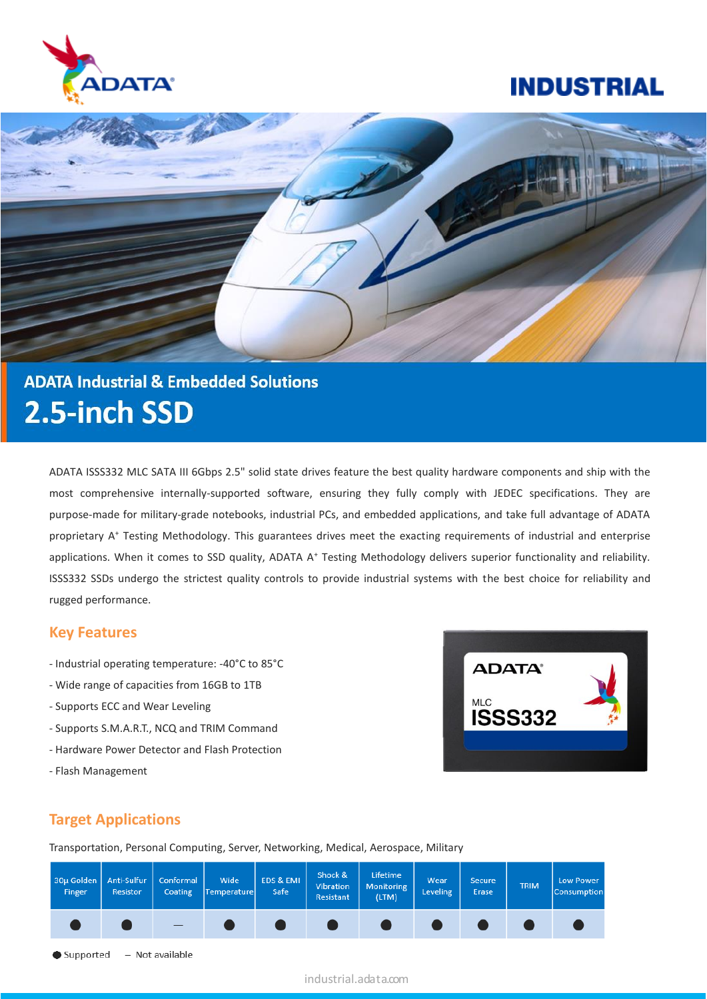

# **ADATA Industrial & Embedded Solutions** 2.5-inch SSD

ADATA ISSS332 MLC SATA III 6Gbps 2.5" solid state drives feature the best quality hardware components and ship with the most comprehensive internally-supported software, ensuring they fully comply with JEDEC specifications. They are purpose-made for military-grade notebooks, industrial PCs, and embedded applications, and take full advantage of ADATA proprietary A<sup>+</sup> Testing Methodology. This guarantees drives meet the exacting requirements of industrial and enterprise applications. When it comes to SSD quality, ADATA A<sup>+</sup> Testing Methodology delivers superior functionality and reliability. ISSS332 SSDs undergo the strictest quality controls to provide industrial systems with the best choice for reliability and rugged performance.

#### **Key Features**

- Industrial operating temperature: -40°C to 85°C
- Wide range of capacities from 16GB to 1TB
- Supports ECC and Wear Leveling
- Supports S.M.A.R.T., NCQ and TRIM Command
- Hardware Power Detector and Flash Protection
- Flash Management



#### **Target Applications**

Transportation, Personal Computing, Server, Networking, Medical, Aerospace, Military

| 30µ Golden<br>Finger | Anti-Sulfur<br>Resistor | Conformal<br>Coating | Wide<br>Temperature | EDS & EMI<br>Safe | Shock &<br>Vibration<br>Resistant | Lifetime<br>Monitoring<br>(LTM) | Wear<br><b>Leveling</b> | <b>Secure</b><br>Erase | <b>TRIM</b> | Low Power<br><b>Consumption</b> |
|----------------------|-------------------------|----------------------|---------------------|-------------------|-----------------------------------|---------------------------------|-------------------------|------------------------|-------------|---------------------------------|
|                      |                         |                      |                     |                   |                                   |                                 |                         |                        |             |                                 |
| $\bullet$ Supported  |                         | - Not available      |                     |                   |                                   |                                 |                         |                        |             |                                 |

industrial.adata.com